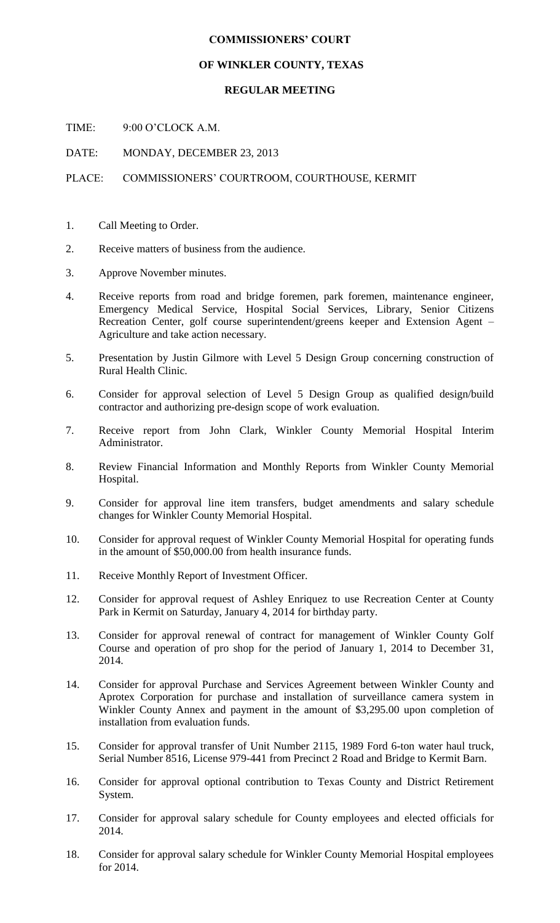## **COMMISSIONERS' COURT**

## **OF WINKLER COUNTY, TEXAS**

## **REGULAR MEETING**

TIME: 9:00 O'CLOCK A.M.

DATE: MONDAY, DECEMBER 23, 2013

## PLACE: COMMISSIONERS' COURTROOM, COURTHOUSE, KERMIT

- 1. Call Meeting to Order.
- 2. Receive matters of business from the audience.
- 3. Approve November minutes.
- 4. Receive reports from road and bridge foremen, park foremen, maintenance engineer, Emergency Medical Service, Hospital Social Services, Library, Senior Citizens Recreation Center, golf course superintendent/greens keeper and Extension Agent – Agriculture and take action necessary.
- 5. Presentation by Justin Gilmore with Level 5 Design Group concerning construction of Rural Health Clinic.
- 6. Consider for approval selection of Level 5 Design Group as qualified design/build contractor and authorizing pre-design scope of work evaluation.
- 7. Receive report from John Clark, Winkler County Memorial Hospital Interim Administrator.
- 8. Review Financial Information and Monthly Reports from Winkler County Memorial Hospital.
- 9. Consider for approval line item transfers, budget amendments and salary schedule changes for Winkler County Memorial Hospital.
- 10. Consider for approval request of Winkler County Memorial Hospital for operating funds in the amount of \$50,000.00 from health insurance funds.
- 11. Receive Monthly Report of Investment Officer.
- 12. Consider for approval request of Ashley Enriquez to use Recreation Center at County Park in Kermit on Saturday, January 4, 2014 for birthday party.
- 13. Consider for approval renewal of contract for management of Winkler County Golf Course and operation of pro shop for the period of January 1, 2014 to December 31, 2014.
- 14. Consider for approval Purchase and Services Agreement between Winkler County and Aprotex Corporation for purchase and installation of surveillance camera system in Winkler County Annex and payment in the amount of \$3,295.00 upon completion of installation from evaluation funds.
- 15. Consider for approval transfer of Unit Number 2115, 1989 Ford 6-ton water haul truck, Serial Number 8516, License 979-441 from Precinct 2 Road and Bridge to Kermit Barn.
- 16. Consider for approval optional contribution to Texas County and District Retirement System.
- 17. Consider for approval salary schedule for County employees and elected officials for 2014.
- 18. Consider for approval salary schedule for Winkler County Memorial Hospital employees for 2014.